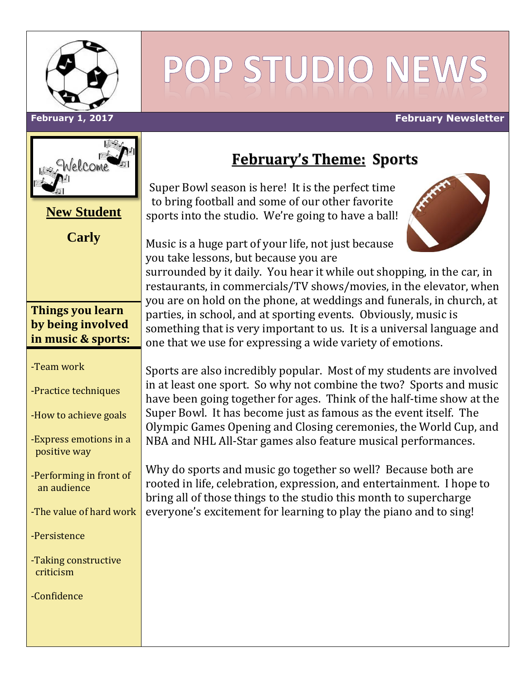

# POP STUDIO NEV

#### **February 1, 2017 February Newsletter**



| <b>New Student</b>                                                 |
|--------------------------------------------------------------------|
| <b>Carly</b>                                                       |
|                                                                    |
|                                                                    |
| <b>Things you learn</b><br>by being involved<br>in music & sports: |
| -Team work                                                         |
| -Practice techniques                                               |
| -How to achieve goals                                              |
| -Express emotions in a<br>positive way                             |
| -Performing in front of<br>an audience                             |
| -The value of hard work                                            |
| -Persistence                                                       |
| -Taking constructive<br>criticism                                  |
| -Confidence                                                        |
|                                                                    |

# **February's Theme: Sports**

Super Bowl season is here! It is the perfect time to bring football and some of our other favorite sports into the studio. We're going to have a ball!

Music is a huge part of your life, not just because you take lessons, but because you are

surrounded by it daily. You hear it while out shopping, in the car, in restaurants, in commercials/TV shows/movies, in the elevator, when you are on hold on the phone, at weddings and funerals, in church, at parties, in school, and at sporting events. Obviously, music is something that is very important to us. It is a universal language and one that we use for expressing a wide variety of emotions.

Sports are also incredibly popular. Most of my students are involved in at least one sport. So why not combine the two? Sports and music have been going together for ages. Think of the half-time show at the Super Bowl. It has become just as famous as the event itself. The Olympic Games Opening and Closing ceremonies, the World Cup, and NBA and NHL All-Star games also feature musical performances.

Why do sports and music go together so well? Because both are rooted in life, celebration, expression, and entertainment. I hope to bring all of those things to the studio this month to supercharge everyone's excitement for learning to play the piano and to sing!